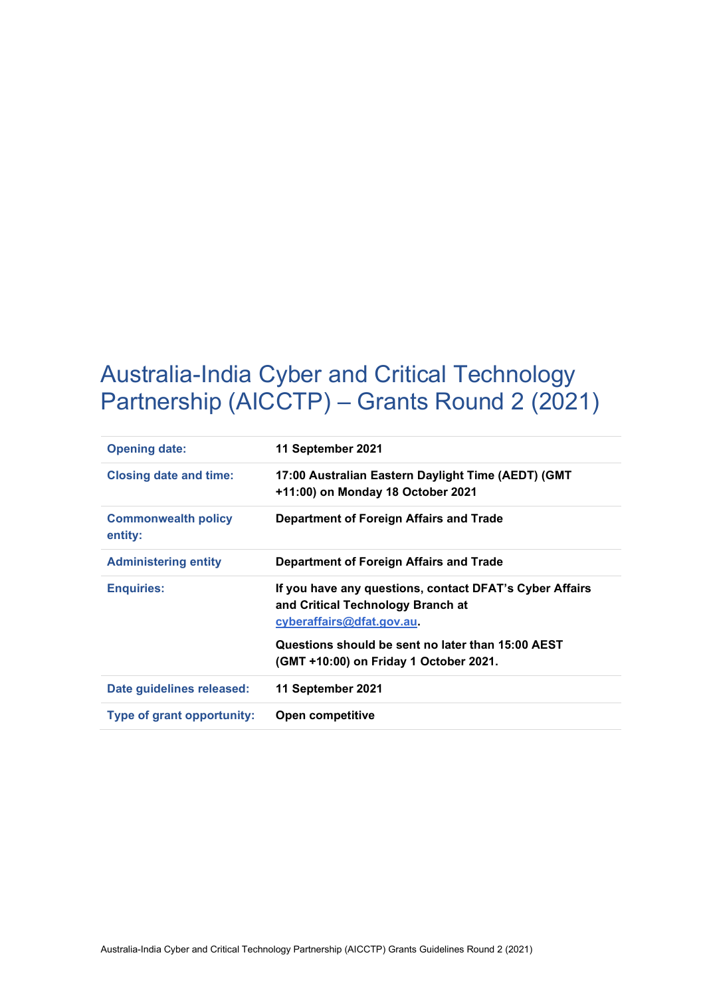# Australia-India Cyber and Critical Technology Partnership (AICCTP) – Grants Round 2 (2021)

| <b>Opening date:</b>                  | 11 September 2021                                                                                                                  |  |
|---------------------------------------|------------------------------------------------------------------------------------------------------------------------------------|--|
| <b>Closing date and time:</b>         | 17:00 Australian Eastern Daylight Time (AEDT) (GMT<br>+11:00) on Monday 18 October 2021<br>Department of Foreign Affairs and Trade |  |
| <b>Commonwealth policy</b><br>entity: |                                                                                                                                    |  |
| <b>Administering entity</b>           | Department of Foreign Affairs and Trade                                                                                            |  |
| <b>Enquiries:</b>                     | If you have any questions, contact DFAT's Cyber Affairs<br>and Critical Technology Branch at<br>cyberaffairs@dfat.gov.au           |  |
|                                       | Questions should be sent no later than 15:00 AEST<br>(GMT +10:00) on Friday 1 October 2021.                                        |  |
| Date guidelines released:             | 11 September 2021                                                                                                                  |  |
| Type of grant opportunity:            | Open competitive                                                                                                                   |  |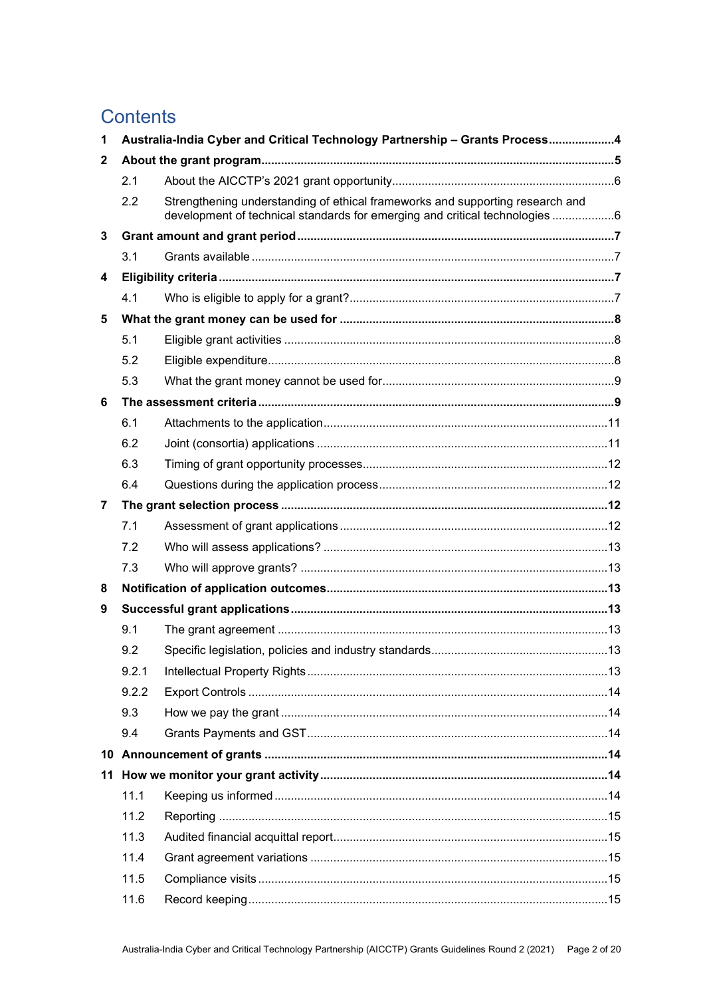# **Contents**

| 1              | Australia-India Cyber and Critical Technology Partnership - Grants Process4 |                                                                                                                                                              |  |  |
|----------------|-----------------------------------------------------------------------------|--------------------------------------------------------------------------------------------------------------------------------------------------------------|--|--|
| 2              |                                                                             |                                                                                                                                                              |  |  |
|                | 2.1                                                                         |                                                                                                                                                              |  |  |
|                | 2.2                                                                         | Strengthening understanding of ethical frameworks and supporting research and<br>development of technical standards for emerging and critical technologies 6 |  |  |
| 3              |                                                                             |                                                                                                                                                              |  |  |
|                | 3.1                                                                         |                                                                                                                                                              |  |  |
| 4              |                                                                             |                                                                                                                                                              |  |  |
|                | 4.1                                                                         |                                                                                                                                                              |  |  |
| 5              |                                                                             |                                                                                                                                                              |  |  |
|                | 5.1                                                                         |                                                                                                                                                              |  |  |
|                | 5.2                                                                         |                                                                                                                                                              |  |  |
|                | 5.3                                                                         |                                                                                                                                                              |  |  |
| 6              |                                                                             |                                                                                                                                                              |  |  |
|                | 6.1                                                                         |                                                                                                                                                              |  |  |
|                | 6.2                                                                         |                                                                                                                                                              |  |  |
|                | 6.3                                                                         |                                                                                                                                                              |  |  |
|                | 6.4                                                                         |                                                                                                                                                              |  |  |
| $\overline{7}$ |                                                                             |                                                                                                                                                              |  |  |
|                | 7.1                                                                         |                                                                                                                                                              |  |  |
|                | 7.2                                                                         |                                                                                                                                                              |  |  |
|                | 7.3                                                                         |                                                                                                                                                              |  |  |
| 8              |                                                                             |                                                                                                                                                              |  |  |
| 9              |                                                                             |                                                                                                                                                              |  |  |
|                | 9.1                                                                         |                                                                                                                                                              |  |  |
|                | 9.2                                                                         |                                                                                                                                                              |  |  |
|                | 9.2.1                                                                       |                                                                                                                                                              |  |  |
|                | 9.2.2                                                                       |                                                                                                                                                              |  |  |
|                | 9.3                                                                         |                                                                                                                                                              |  |  |
|                | 9.4                                                                         |                                                                                                                                                              |  |  |
|                |                                                                             |                                                                                                                                                              |  |  |
|                |                                                                             |                                                                                                                                                              |  |  |
|                | 11.1                                                                        |                                                                                                                                                              |  |  |
|                | 11.2                                                                        |                                                                                                                                                              |  |  |
|                | 11.3                                                                        |                                                                                                                                                              |  |  |
|                | 11.4                                                                        |                                                                                                                                                              |  |  |
|                | 11.5                                                                        |                                                                                                                                                              |  |  |
|                | 11.6                                                                        |                                                                                                                                                              |  |  |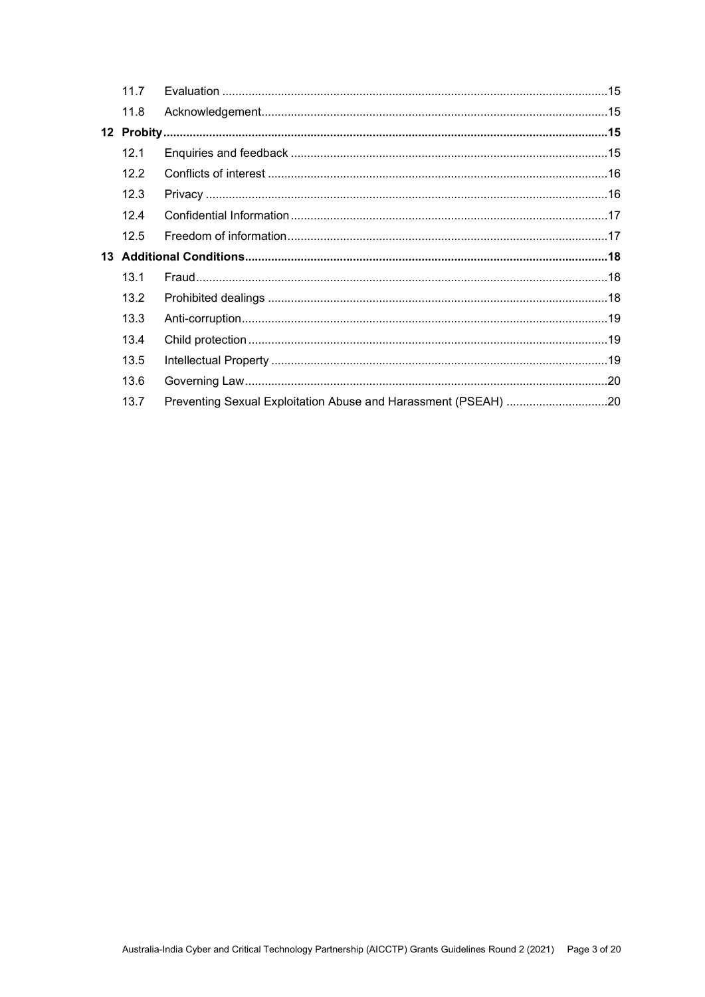| 11 7            |  |                                                                |
|-----------------|--|----------------------------------------------------------------|
| 11.8            |  |                                                                |
|                 |  |                                                                |
| 12 <sub>1</sub> |  |                                                                |
| 12.2            |  |                                                                |
| 12.3            |  |                                                                |
| 124             |  |                                                                |
| 12.5            |  |                                                                |
|                 |  |                                                                |
| 13 <sub>1</sub> |  |                                                                |
| 13.2            |  |                                                                |
| 13.3            |  |                                                                |
| 13.4            |  |                                                                |
| 13.5            |  |                                                                |
| 13.6            |  |                                                                |
| 13.7            |  |                                                                |
|                 |  | Preventing Sexual Exploitation Abuse and Harassment (PSEAH) 20 |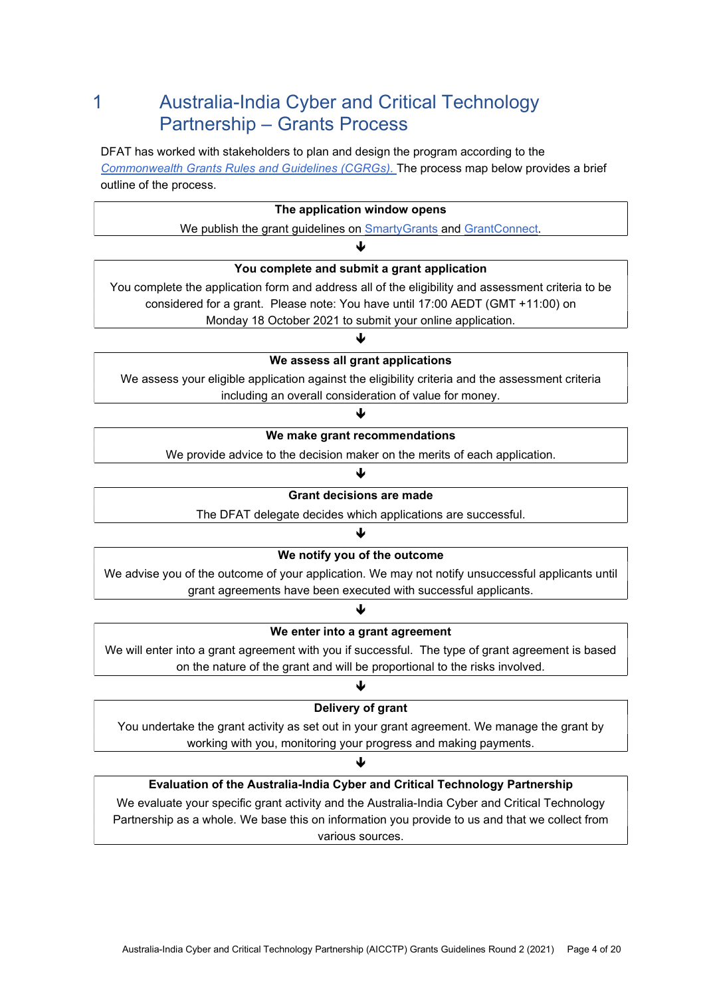# 1 Australia-India Cyber and Critical Technology Partnership – Grants Process

DFAT has worked with stakeholders to plan and design the program according to the Commonwealth Grants Rules and Guidelines (CGRGs). The process map below provides a brief outline of the process.

| The application window opens                                                                       |  |  |  |  |
|----------------------------------------------------------------------------------------------------|--|--|--|--|
| We publish the grant guidelines on <b>SmartyGrants</b> and <b>GrantConnect</b> .                   |  |  |  |  |
| ◡                                                                                                  |  |  |  |  |
| You complete and submit a grant application                                                        |  |  |  |  |
| You complete the application form and address all of the eligibility and assessment criteria to be |  |  |  |  |
| considered for a grant. Please note: You have until 17:00 AEDT (GMT +11:00) on                     |  |  |  |  |
| Monday 18 October 2021 to submit your online application.                                          |  |  |  |  |
|                                                                                                    |  |  |  |  |
| We assess all grant applications                                                                   |  |  |  |  |
| We assess your eligible application against the eligibility criteria and the assessment criteria   |  |  |  |  |
| including an overall consideration of value for money.                                             |  |  |  |  |
|                                                                                                    |  |  |  |  |
| We make grant recommendations                                                                      |  |  |  |  |
| We provide advice to the decision maker on the merits of each application.                         |  |  |  |  |
| J                                                                                                  |  |  |  |  |
| <b>Grant decisions are made</b>                                                                    |  |  |  |  |
| The DFAT delegate decides which applications are successful.                                       |  |  |  |  |
| ↓                                                                                                  |  |  |  |  |
| We notify you of the outcome                                                                       |  |  |  |  |
| We advise you of the outcome of your application. We may not notify unsuccessful applicants until  |  |  |  |  |
| grant agreements have been executed with successful applicants.                                    |  |  |  |  |
| ↓                                                                                                  |  |  |  |  |
| We enter into a grant agreement                                                                    |  |  |  |  |
| We will enter into a grant agreement with you if successful. The type of grant agreement is based  |  |  |  |  |
| on the nature of the grant and will be proportional to the risks involved.                         |  |  |  |  |
|                                                                                                    |  |  |  |  |
| Delivery of grant                                                                                  |  |  |  |  |
| You undertake the grant activity as set out in your grant agreement. We manage the grant by        |  |  |  |  |
| working with you, monitoring your progress and making payments.                                    |  |  |  |  |
| ₩                                                                                                  |  |  |  |  |
| Evaluation of the Australia-India Cyber and Critical Technology Partnership                        |  |  |  |  |
| We evaluate your specific grant activity and the Australia-India Cyber and Critical Technology     |  |  |  |  |
| Partnership as a whole. We base this on information you provide to us and that we collect from     |  |  |  |  |
| various sources.                                                                                   |  |  |  |  |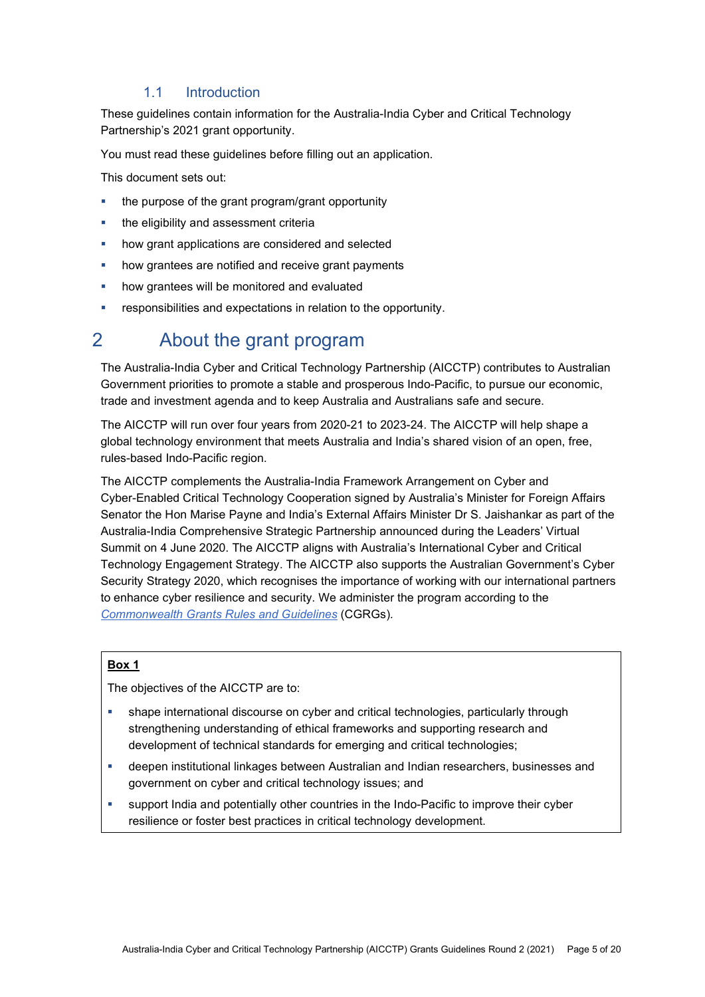#### 1.1 Introduction

These guidelines contain information for the Australia-India Cyber and Critical Technology Partnership's 2021 grant opportunity.

You must read these guidelines before filling out an application.

This document sets out:

- the purpose of the grant program/grant opportunity
- the eligibility and assessment criteria
- how grant applications are considered and selected
- how grantees are notified and receive grant payments
- how grantees will be monitored and evaluated
- responsibilities and expectations in relation to the opportunity.

# 2 About the grant program

The Australia-India Cyber and Critical Technology Partnership (AICCTP) contributes to Australian Government priorities to promote a stable and prosperous Indo-Pacific, to pursue our economic, trade and investment agenda and to keep Australia and Australians safe and secure.

The AICCTP will run over four years from 2020-21 to 2023-24. The AICCTP will help shape a global technology environment that meets Australia and India's shared vision of an open, free, rules-based Indo-Pacific region.

The AICCTP complements the Australia-India Framework Arrangement on Cyber and Cyber-Enabled Critical Technology Cooperation signed by Australia's Minister for Foreign Affairs Senator the Hon Marise Payne and India's External Affairs Minister Dr S. Jaishankar as part of the Australia-India Comprehensive Strategic Partnership announced during the Leaders' Virtual Summit on 4 June 2020. The AICCTP aligns with Australia's International Cyber and Critical Technology Engagement Strategy. The AICCTP also supports the Australian Government's Cyber Security Strategy 2020, which recognises the importance of working with our international partners to enhance cyber resilience and security. We administer the program according to the Commonwealth Grants Rules and Guidelines (CGRGs).

#### Box 1

The objectives of the AICCTP are to:

- shape international discourse on cyber and critical technologies, particularly through strengthening understanding of ethical frameworks and supporting research and development of technical standards for emerging and critical technologies;
- deepen institutional linkages between Australian and Indian researchers, businesses and government on cyber and critical technology issues; and
- support India and potentially other countries in the Indo-Pacific to improve their cyber resilience or foster best practices in critical technology development.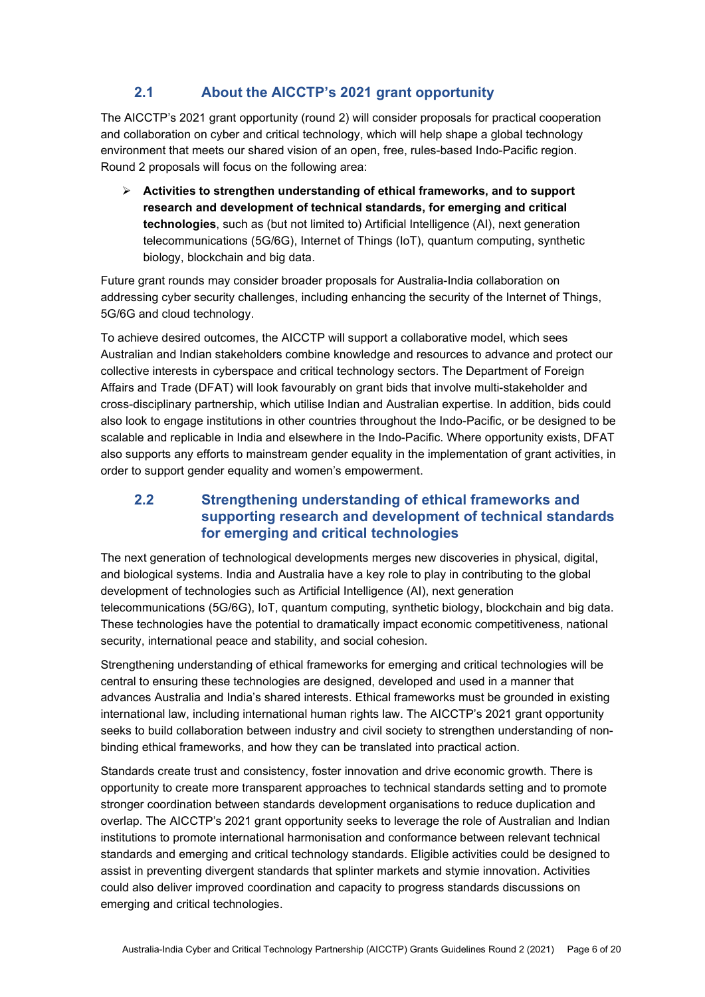## 2.1 About the AICCTP's 2021 grant opportunity

The AICCTP's 2021 grant opportunity (round 2) will consider proposals for practical cooperation and collaboration on cyber and critical technology, which will help shape a global technology environment that meets our shared vision of an open, free, rules-based Indo-Pacific region. Round 2 proposals will focus on the following area:

 $\triangleright$  Activities to strengthen understanding of ethical frameworks, and to support research and development of technical standards, for emerging and critical technologies, such as (but not limited to) Artificial Intelligence (AI), next generation telecommunications (5G/6G), Internet of Things (IoT), quantum computing, synthetic biology, blockchain and big data.

Future grant rounds may consider broader proposals for Australia-India collaboration on addressing cyber security challenges, including enhancing the security of the Internet of Things, 5G/6G and cloud technology.

To achieve desired outcomes, the AICCTP will support a collaborative model, which sees Australian and Indian stakeholders combine knowledge and resources to advance and protect our collective interests in cyberspace and critical technology sectors. The Department of Foreign Affairs and Trade (DFAT) will look favourably on grant bids that involve multi-stakeholder and cross-disciplinary partnership, which utilise Indian and Australian expertise. In addition, bids could also look to engage institutions in other countries throughout the Indo-Pacific, or be designed to be scalable and replicable in India and elsewhere in the Indo-Pacific. Where opportunity exists, DFAT also supports any efforts to mainstream gender equality in the implementation of grant activities, in order to support gender equality and women's empowerment.

#### 2.2 Strengthening understanding of ethical frameworks and supporting research and development of technical standards for emerging and critical technologies

The next generation of technological developments merges new discoveries in physical, digital, and biological systems. India and Australia have a key role to play in contributing to the global development of technologies such as Artificial Intelligence (AI), next generation telecommunications (5G/6G), IoT, quantum computing, synthetic biology, blockchain and big data. These technologies have the potential to dramatically impact economic competitiveness, national security, international peace and stability, and social cohesion.

Strengthening understanding of ethical frameworks for emerging and critical technologies will be central to ensuring these technologies are designed, developed and used in a manner that advances Australia and India's shared interests. Ethical frameworks must be grounded in existing international law, including international human rights law. The AICCTP's 2021 grant opportunity seeks to build collaboration between industry and civil society to strengthen understanding of nonbinding ethical frameworks, and how they can be translated into practical action.

Standards create trust and consistency, foster innovation and drive economic growth. There is opportunity to create more transparent approaches to technical standards setting and to promote stronger coordination between standards development organisations to reduce duplication and overlap. The AICCTP's 2021 grant opportunity seeks to leverage the role of Australian and Indian institutions to promote international harmonisation and conformance between relevant technical standards and emerging and critical technology standards. Eligible activities could be designed to assist in preventing divergent standards that splinter markets and stymie innovation. Activities could also deliver improved coordination and capacity to progress standards discussions on emerging and critical technologies.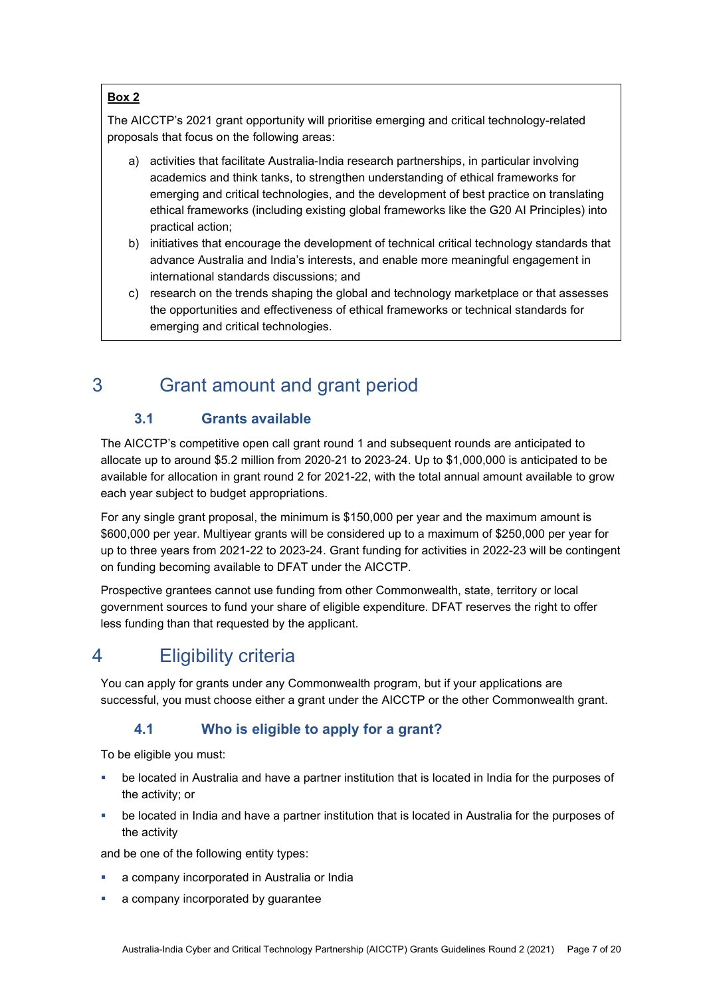#### Box 2

The AICCTP's 2021 grant opportunity will prioritise emerging and critical technology-related proposals that focus on the following areas:

- a) activities that facilitate Australia-India research partnerships, in particular involving academics and think tanks, to strengthen understanding of ethical frameworks for emerging and critical technologies, and the development of best practice on translating ethical frameworks (including existing global frameworks like the G20 AI Principles) into practical action;
- b) initiatives that encourage the development of technical critical technology standards that advance Australia and India's interests, and enable more meaningful engagement in international standards discussions; and
- c) research on the trends shaping the global and technology marketplace or that assesses the opportunities and effectiveness of ethical frameworks or technical standards for emerging and critical technologies.

# 3 Grant amount and grant period

## 3.1 Grants available

The AICCTP's competitive open call grant round 1 and subsequent rounds are anticipated to allocate up to around \$5.2 million from 2020-21 to 2023-24. Up to \$1,000,000 is anticipated to be available for allocation in grant round 2 for 2021-22, with the total annual amount available to grow each year subject to budget appropriations.

For any single grant proposal, the minimum is \$150,000 per year and the maximum amount is \$600,000 per year. Multiyear grants will be considered up to a maximum of \$250,000 per year for up to three years from 2021-22 to 2023-24. Grant funding for activities in 2022-23 will be contingent on funding becoming available to DFAT under the AICCTP.

Prospective grantees cannot use funding from other Commonwealth, state, territory or local government sources to fund your share of eligible expenditure. DFAT reserves the right to offer less funding than that requested by the applicant.

# 4 Eligibility criteria

You can apply for grants under any Commonwealth program, but if your applications are successful, you must choose either a grant under the AICCTP or the other Commonwealth grant.

# 4.1 Who is eligible to apply for a grant?

To be eligible you must:

- be located in Australia and have a partner institution that is located in India for the purposes of the activity; or
- be located in India and have a partner institution that is located in Australia for the purposes of the activity

and be one of the following entity types:

- a company incorporated in Australia or India
- a company incorporated by guarantee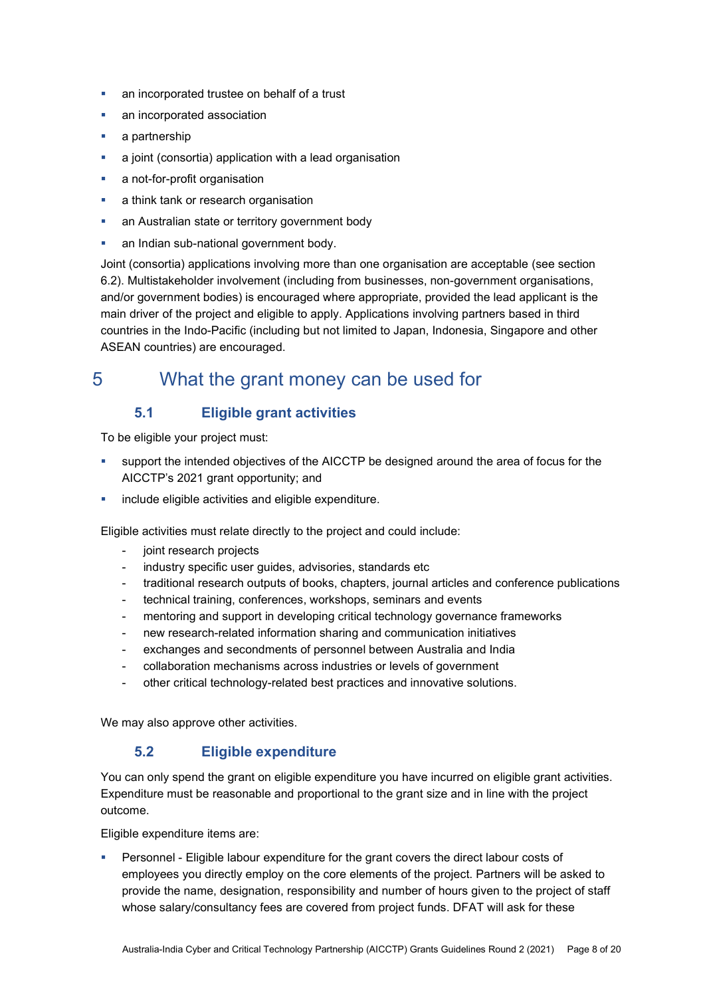- **an incorporated trustee on behalf of a trust**
- an incorporated association
- a partnership
- a joint (consortia) application with a lead organisation
- a not-for-profit organisation
- a think tank or research organisation
- an Australian state or territory government body
- **an Indian sub-national government body.**

Joint (consortia) applications involving more than one organisation are acceptable (see section 6.2). Multistakeholder involvement (including from businesses, non-government organisations, and/or government bodies) is encouraged where appropriate, provided the lead applicant is the main driver of the project and eligible to apply. Applications involving partners based in third countries in the Indo-Pacific (including but not limited to Japan, Indonesia, Singapore and other ASEAN countries) are encouraged.

# 5 What the grant money can be used for

#### 5.1 Eligible grant activities

To be eligible your project must:

- support the intended objectives of the AICCTP be designed around the area of focus for the AICCTP's 2021 grant opportunity; and
- include eligible activities and eligible expenditure.

Eligible activities must relate directly to the project and could include:

- joint research projects
- industry specific user quides, advisories, standards etc
- traditional research outputs of books, chapters, journal articles and conference publications
- technical training, conferences, workshops, seminars and events
- mentoring and support in developing critical technology governance frameworks
- new research-related information sharing and communication initiatives
- exchanges and secondments of personnel between Australia and India
- collaboration mechanisms across industries or levels of government
- other critical technology-related best practices and innovative solutions.

We may also approve other activities.

#### 5.2 Eligible expenditure

You can only spend the grant on eligible expenditure you have incurred on eligible grant activities. Expenditure must be reasonable and proportional to the grant size and in line with the project outcome.

Eligible expenditure items are:

 Personnel - Eligible labour expenditure for the grant covers the direct labour costs of employees you directly employ on the core elements of the project. Partners will be asked to provide the name, designation, responsibility and number of hours given to the project of staff whose salary/consultancy fees are covered from project funds. DFAT will ask for these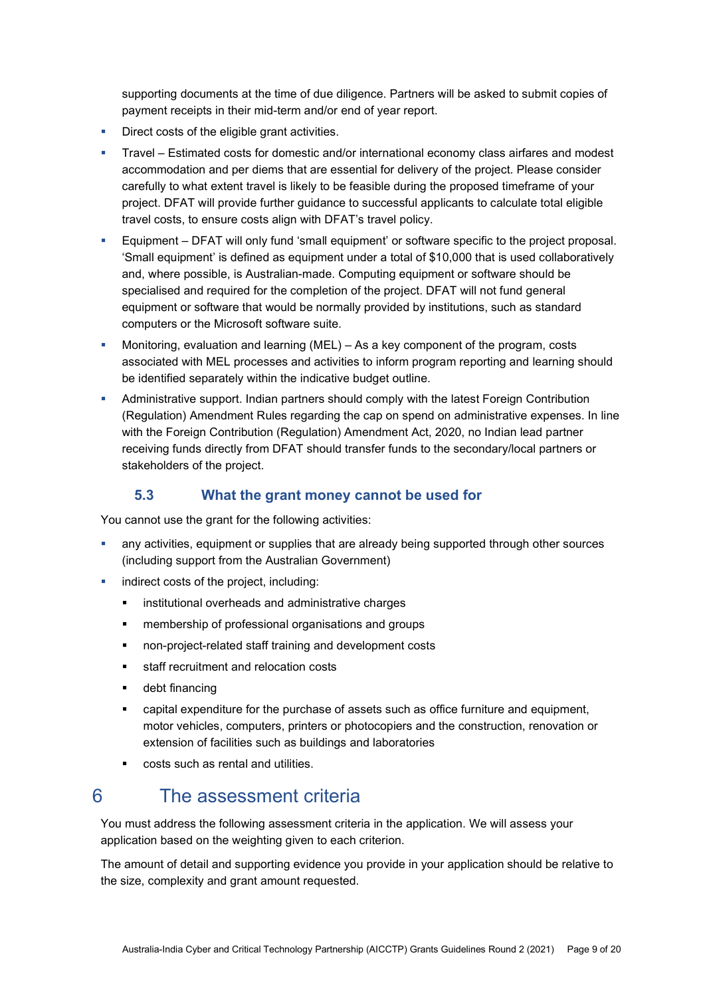supporting documents at the time of due diligence. Partners will be asked to submit copies of payment receipts in their mid-term and/or end of year report.

- Direct costs of the eligible grant activities.
- Travel Estimated costs for domestic and/or international economy class airfares and modest accommodation and per diems that are essential for delivery of the project. Please consider carefully to what extent travel is likely to be feasible during the proposed timeframe of your project. DFAT will provide further guidance to successful applicants to calculate total eligible travel costs, to ensure costs align with DFAT's travel policy.
- Equipment DFAT will only fund 'small equipment' or software specific to the project proposal. 'Small equipment' is defined as equipment under a total of \$10,000 that is used collaboratively and, where possible, is Australian-made. Computing equipment or software should be specialised and required for the completion of the project. DFAT will not fund general equipment or software that would be normally provided by institutions, such as standard computers or the Microsoft software suite.
- Monitoring, evaluation and learning (MEL) As a key component of the program, costs associated with MEL processes and activities to inform program reporting and learning should be identified separately within the indicative budget outline.
- Administrative support. Indian partners should comply with the latest Foreign Contribution (Regulation) Amendment Rules regarding the cap on spend on administrative expenses. In line with the Foreign Contribution (Regulation) Amendment Act, 2020, no Indian lead partner receiving funds directly from DFAT should transfer funds to the secondary/local partners or stakeholders of the project.

#### 5.3 What the grant money cannot be used for

You cannot use the grant for the following activities:

- any activities, equipment or supplies that are already being supported through other sources (including support from the Australian Government)
- indirect costs of the project, including:
	- **EXECUTED institutional overheads and administrative charges**
	- membership of professional organisations and groups
	- non-project-related staff training and development costs
	- **staff recruitment and relocation costs**
	- **-** debt financing
	- capital expenditure for the purchase of assets such as office furniture and equipment, motor vehicles, computers, printers or photocopiers and the construction, renovation or extension of facilities such as buildings and laboratories
	- costs such as rental and utilities.

# 6 The assessment criteria

You must address the following assessment criteria in the application. We will assess your application based on the weighting given to each criterion.

The amount of detail and supporting evidence you provide in your application should be relative to the size, complexity and grant amount requested.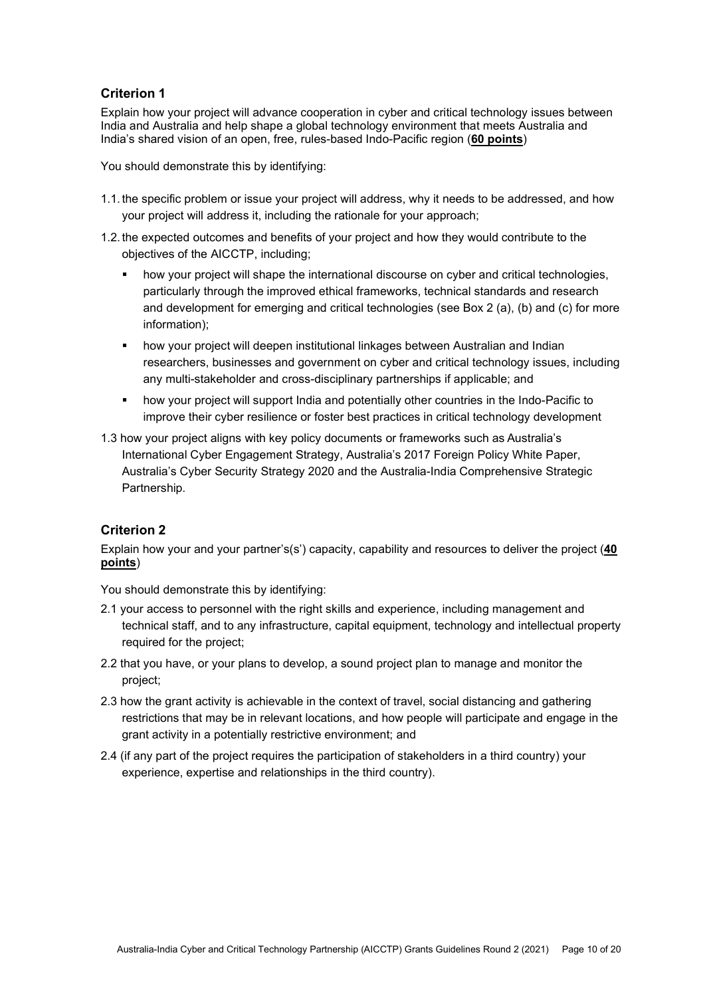#### Criterion 1

Explain how your project will advance cooperation in cyber and critical technology issues between India and Australia and help shape a global technology environment that meets Australia and India's shared vision of an open, free, rules-based Indo-Pacific region (60 points)

You should demonstrate this by identifying:

- 1.1. the specific problem or issue your project will address, why it needs to be addressed, and how your project will address it, including the rationale for your approach;
- 1.2. the expected outcomes and benefits of your project and how they would contribute to the objectives of the AICCTP, including;
	- **•** how your project will shape the international discourse on cyber and critical technologies, particularly through the improved ethical frameworks, technical standards and research and development for emerging and critical technologies (see Box 2 (a), (b) and (c) for more information);
	- how your project will deepen institutional linkages between Australian and Indian researchers, businesses and government on cyber and critical technology issues, including any multi-stakeholder and cross-disciplinary partnerships if applicable; and
	- how your project will support India and potentially other countries in the Indo-Pacific to improve their cyber resilience or foster best practices in critical technology development
- 1.3 how your project aligns with key policy documents or frameworks such as Australia's International Cyber Engagement Strategy, Australia's 2017 Foreign Policy White Paper, Australia's Cyber Security Strategy 2020 and the Australia-India Comprehensive Strategic Partnership.

#### Criterion 2

Explain how your and your partner's(s') capacity, capability and resources to deliver the project (40 points)

You should demonstrate this by identifying:

- 2.1 your access to personnel with the right skills and experience, including management and technical staff, and to any infrastructure, capital equipment, technology and intellectual property required for the project;
- 2.2 that you have, or your plans to develop, a sound project plan to manage and monitor the project;
- 2.3 how the grant activity is achievable in the context of travel, social distancing and gathering restrictions that may be in relevant locations, and how people will participate and engage in the grant activity in a potentially restrictive environment; and
- 2.4 (if any part of the project requires the participation of stakeholders in a third country) your experience, expertise and relationships in the third country).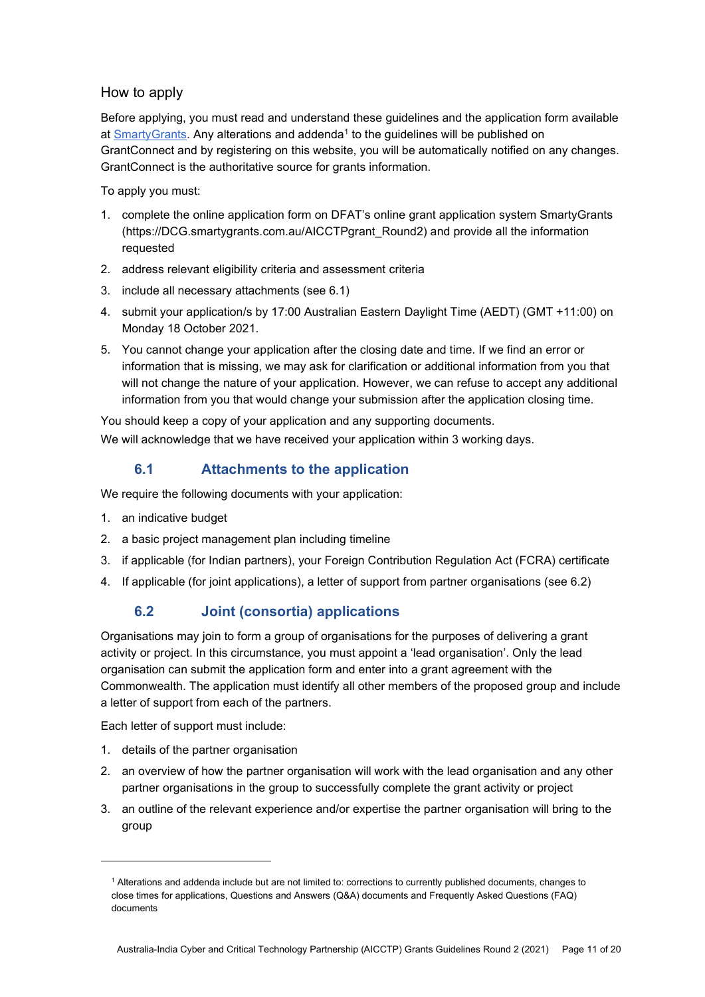#### How to apply

Before applying, you must read and understand these guidelines and the application form available at **SmartyGrants.** Any alterations and addenda<sup>1</sup> to the guidelines will be published on GrantConnect and by registering on this website, you will be automatically notified on any changes. GrantConnect is the authoritative source for grants information.

To apply you must:

- 1. complete the online application form on DFAT's online grant application system SmartyGrants (https://DCG.smartygrants.com.au/AICCTPgrant\_Round2) and provide all the information requested
- 2. address relevant eligibility criteria and assessment criteria
- 3. include all necessary attachments (see 6.1)
- 4. submit your application/s by 17:00 Australian Eastern Daylight Time (AEDT) (GMT +11:00) on Monday 18 October 2021.
- 5. You cannot change your application after the closing date and time. If we find an error or information that is missing, we may ask for clarification or additional information from you that will not change the nature of your application. However, we can refuse to accept any additional information from you that would change your submission after the application closing time.

You should keep a copy of your application and any supporting documents.

We will acknowledge that we have received your application within 3 working days.

### 6.1 Attachments to the application

We require the following documents with your application:

- 1. an indicative budget
- 2. a basic project management plan including timeline
- 3. if applicable (for Indian partners), your Foreign Contribution Regulation Act (FCRA) certificate
- 4. If applicable (for joint applications), a letter of support from partner organisations (see 6.2)

## 6.2 Joint (consortia) applications

Organisations may join to form a group of organisations for the purposes of delivering a grant activity or project. In this circumstance, you must appoint a 'lead organisation'. Only the lead organisation can submit the application form and enter into a grant agreement with the Commonwealth. The application must identify all other members of the proposed group and include a letter of support from each of the partners.

Each letter of support must include:

- 1. details of the partner organisation
- 2. an overview of how the partner organisation will work with the lead organisation and any other partner organisations in the group to successfully complete the grant activity or project
- 3. an outline of the relevant experience and/or expertise the partner organisation will bring to the group

<sup>1</sup> Alterations and addenda include but are not limited to: corrections to currently published documents, changes to close times for applications, Questions and Answers (Q&A) documents and Frequently Asked Questions (FAQ) documents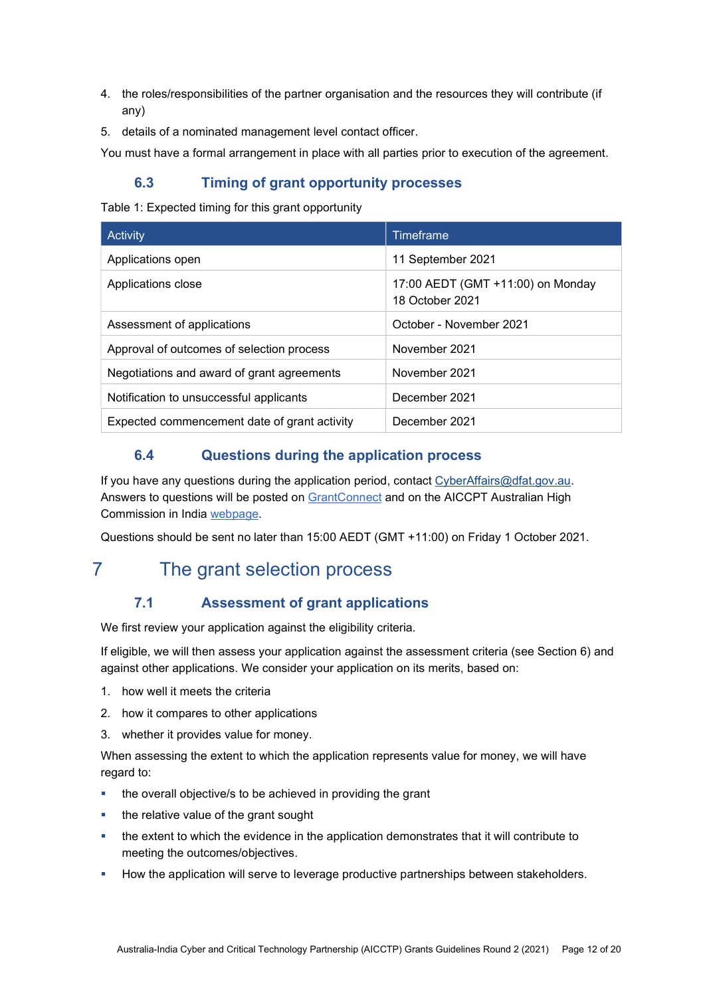- 4. the roles/responsibilities of the partner organisation and the resources they will contribute (if any)
- 5. details of a nominated management level contact officer.

You must have a formal arrangement in place with all parties prior to execution of the agreement.

### 6.3 Timing of grant opportunity processes

Table 1: Expected timing for this grant opportunity

| Activity                                     | Timeframe                                            |
|----------------------------------------------|------------------------------------------------------|
| Applications open                            | 11 September 2021                                    |
| Applications close                           | 17:00 AEDT (GMT +11:00) on Monday<br>18 October 2021 |
| Assessment of applications                   | October - November 2021                              |
| Approval of outcomes of selection process    | November 2021                                        |
| Negotiations and award of grant agreements   | November 2021                                        |
| Notification to unsuccessful applicants      | December 2021                                        |
| Expected commencement date of grant activity | December 2021                                        |

## 6.4 Questions during the application process

If you have any questions during the application period, contact CyberAffairs@dfat.gov.au. Answers to questions will be posted on GrantConnect and on the AICCPT Australian High Commission in India webpage.

Questions should be sent no later than 15:00 AEDT (GMT +11:00) on Friday 1 October 2021.

# 7 The grant selection process

## 7.1 Assessment of grant applications

We first review your application against the eligibility criteria.

If eligible, we will then assess your application against the assessment criteria (see Section 6) and against other applications. We consider your application on its merits, based on:

- 1. how well it meets the criteria
- 2. how it compares to other applications
- 3. whether it provides value for money.

When assessing the extent to which the application represents value for money, we will have regard to:

- the overall objective/s to be achieved in providing the grant
- the relative value of the grant sought
- the extent to which the evidence in the application demonstrates that it will contribute to meeting the outcomes/objectives.
- How the application will serve to leverage productive partnerships between stakeholders.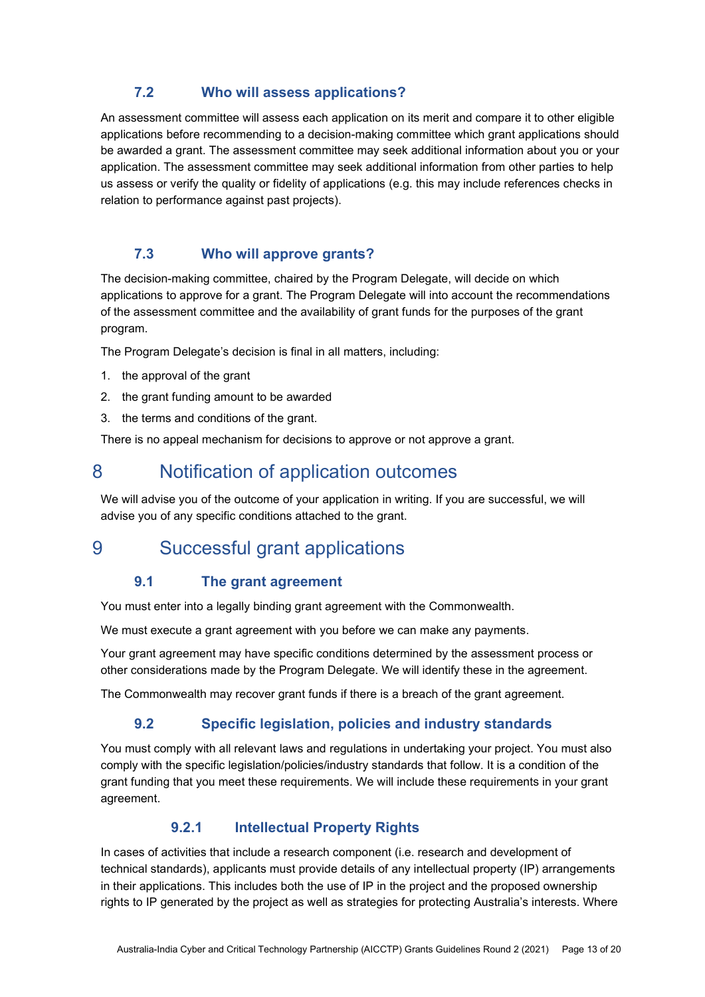#### 7.2 Who will assess applications?

An assessment committee will assess each application on its merit and compare it to other eligible applications before recommending to a decision-making committee which grant applications should be awarded a grant. The assessment committee may seek additional information about you or your application. The assessment committee may seek additional information from other parties to help us assess or verify the quality or fidelity of applications (e.g. this may include references checks in relation to performance against past projects).

## 7.3 Who will approve grants?

The decision-making committee, chaired by the Program Delegate, will decide on which applications to approve for a grant. The Program Delegate will into account the recommendations of the assessment committee and the availability of grant funds for the purposes of the grant program.

The Program Delegate's decision is final in all matters, including:

- 1. the approval of the grant
- 2. the grant funding amount to be awarded
- 3. the terms and conditions of the grant.

There is no appeal mechanism for decisions to approve or not approve a grant.

# 8 Notification of application outcomes

We will advise you of the outcome of your application in writing. If you are successful, we will advise you of any specific conditions attached to the grant.

# 9 Successful grant applications

#### 9.1 The grant agreement

You must enter into a legally binding grant agreement with the Commonwealth.

We must execute a grant agreement with you before we can make any payments.

Your grant agreement may have specific conditions determined by the assessment process or other considerations made by the Program Delegate. We will identify these in the agreement.

The Commonwealth may recover grant funds if there is a breach of the grant agreement.

#### 9.2 Specific legislation, policies and industry standards

You must comply with all relevant laws and regulations in undertaking your project. You must also comply with the specific legislation/policies/industry standards that follow. It is a condition of the grant funding that you meet these requirements. We will include these requirements in your grant agreement.

#### 9.2.1 Intellectual Property Rights

In cases of activities that include a research component (i.e. research and development of technical standards), applicants must provide details of any intellectual property (IP) arrangements in their applications. This includes both the use of IP in the project and the proposed ownership rights to IP generated by the project as well as strategies for protecting Australia's interests. Where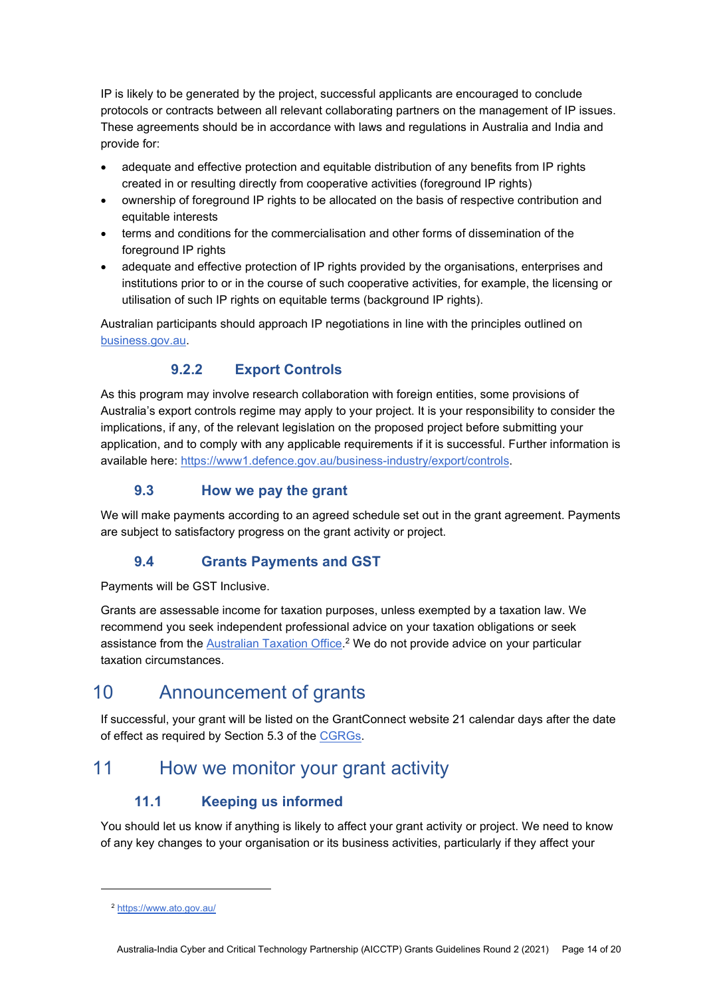IP is likely to be generated by the project, successful applicants are encouraged to conclude protocols or contracts between all relevant collaborating partners on the management of IP issues. These agreements should be in accordance with laws and regulations in Australia and India and provide for:

- adequate and effective protection and equitable distribution of any benefits from IP rights created in or resulting directly from cooperative activities (foreground IP rights)
- ownership of foreground IP rights to be allocated on the basis of respective contribution and equitable interests
- terms and conditions for the commercialisation and other forms of dissemination of the foreground IP rights
- adequate and effective protection of IP rights provided by the organisations, enterprises and institutions prior to or in the course of such cooperative activities, for example, the licensing or utilisation of such IP rights on equitable terms (background IP rights).

Australian participants should approach IP negotiations in line with the principles outlined on business.gov.au.

# 9.2.2 Export Controls

As this program may involve research collaboration with foreign entities, some provisions of Australia's export controls regime may apply to your project. It is your responsibility to consider the implications, if any, of the relevant legislation on the proposed project before submitting your application, and to comply with any applicable requirements if it is successful. Further information is available here: https://www1.defence.gov.au/business-industry/export/controls.

## 9.3 How we pay the grant

We will make payments according to an agreed schedule set out in the grant agreement. Payments are subject to satisfactory progress on the grant activity or project.

## 9.4 Grants Payments and GST

Payments will be GST Inclusive.

Grants are assessable income for taxation purposes, unless exempted by a taxation law. We recommend you seek independent professional advice on your taxation obligations or seek assistance from the Australian Taxation Office.<sup>2</sup> We do not provide advice on your particular taxation circumstances.

# 10 Announcement of grants

If successful, your grant will be listed on the GrantConnect website 21 calendar days after the date of effect as required by Section 5.3 of the CGRGs.

# 11 How we monitor your grant activity

## 11.1 Keeping us informed

You should let us know if anything is likely to affect your grant activity or project. We need to know of any key changes to your organisation or its business activities, particularly if they affect your

<sup>2</sup> https://www.ato.gov.au/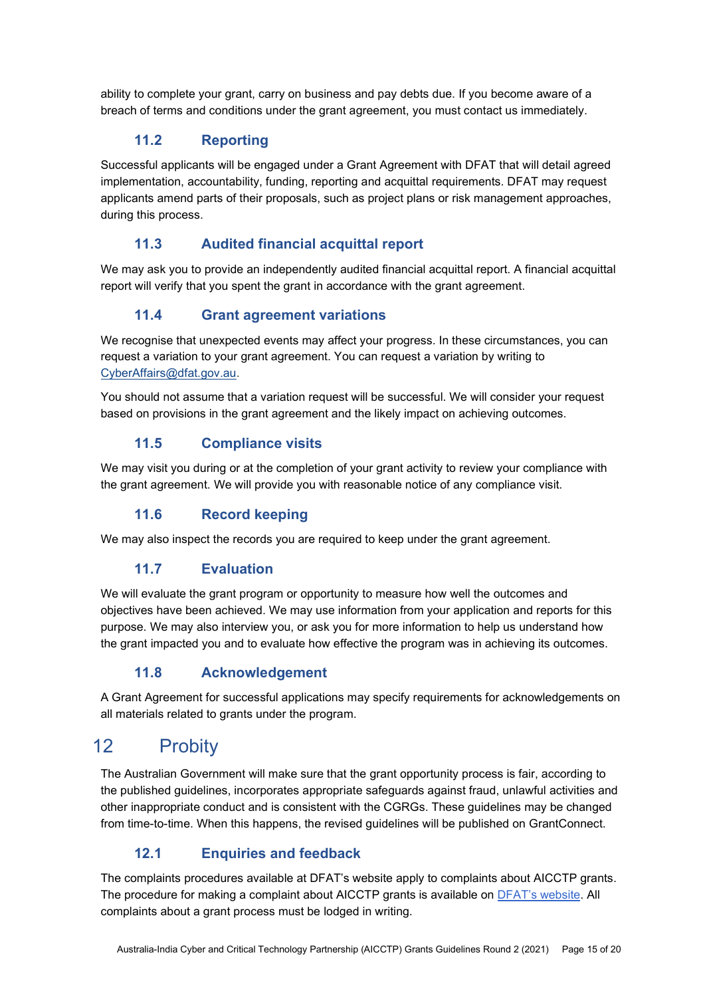ability to complete your grant, carry on business and pay debts due. If you become aware of a breach of terms and conditions under the grant agreement, you must contact us immediately.

### 11.2 Reporting

Successful applicants will be engaged under a Grant Agreement with DFAT that will detail agreed implementation, accountability, funding, reporting and acquittal requirements. DFAT may request applicants amend parts of their proposals, such as project plans or risk management approaches, during this process.

### 11.3 Audited financial acquittal report

We may ask you to provide an independently audited financial acquittal report. A financial acquittal report will verify that you spent the grant in accordance with the grant agreement.

## 11.4 Grant agreement variations

We recognise that unexpected events may affect your progress. In these circumstances, you can request a variation to your grant agreement. You can request a variation by writing to CyberAffairs@dfat.gov.au.

You should not assume that a variation request will be successful. We will consider your request based on provisions in the grant agreement and the likely impact on achieving outcomes.

### 11.5 Compliance visits

We may visit you during or at the completion of your grant activity to review your compliance with the grant agreement. We will provide you with reasonable notice of any compliance visit.

#### 11.6 Record keeping

We may also inspect the records you are required to keep under the grant agreement.

## 11.7 Evaluation

We will evaluate the grant program or opportunity to measure how well the outcomes and objectives have been achieved. We may use information from your application and reports for this purpose. We may also interview you, or ask you for more information to help us understand how the grant impacted you and to evaluate how effective the program was in achieving its outcomes.

#### 11.8 Acknowledgement

A Grant Agreement for successful applications may specify requirements for acknowledgements on all materials related to grants under the program.

# 12 Probity

The Australian Government will make sure that the grant opportunity process is fair, according to the published guidelines, incorporates appropriate safeguards against fraud, unlawful activities and other inappropriate conduct and is consistent with the CGRGs. These guidelines may be changed from time-to-time. When this happens, the revised guidelines will be published on GrantConnect.

## 12.1 Enquiries and feedback

The complaints procedures available at DFAT's website apply to complaints about AICCTP grants. The procedure for making a complaint about AICCTP grants is available on DFAT's website. All complaints about a grant process must be lodged in writing.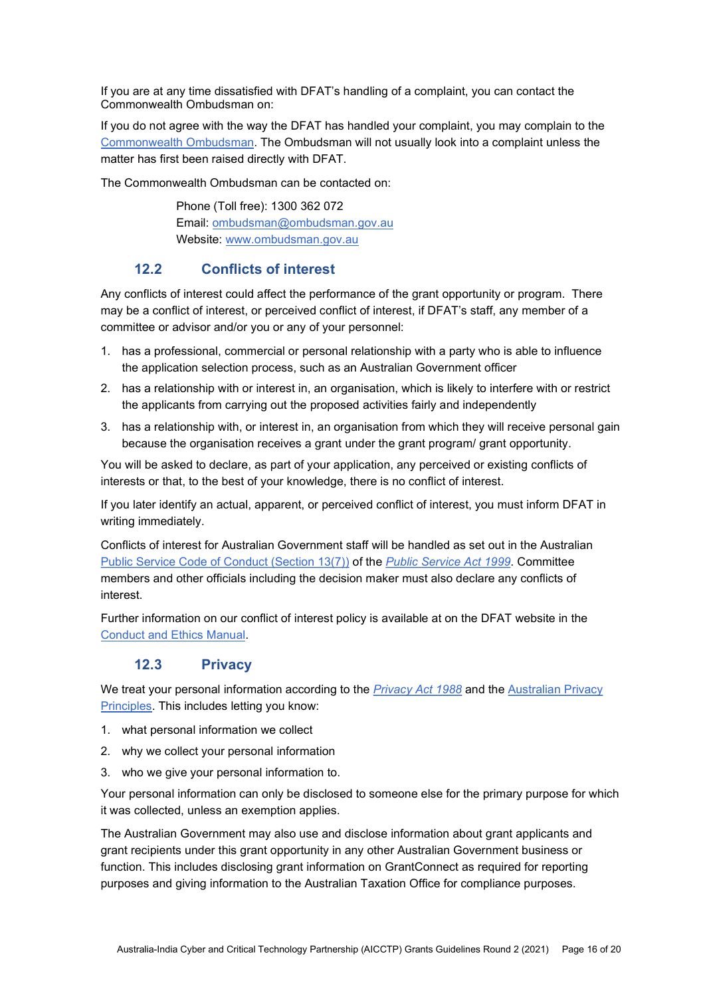If you are at any time dissatisfied with DFAT's handling of a complaint, you can contact the Commonwealth Ombudsman on:

If you do not agree with the way the DFAT has handled your complaint, you may complain to the Commonwealth Ombudsman. The Ombudsman will not usually look into a complaint unless the matter has first been raised directly with DFAT.

The Commonwealth Ombudsman can be contacted on:

 Phone (Toll free): 1300 362 072 Email: ombudsman@ombudsman.gov.au Website: www.ombudsman.gov.au

#### 12.2 Conflicts of interest

Any conflicts of interest could affect the performance of the grant opportunity or program. There may be a conflict of interest, or perceived conflict of interest, if DFAT's staff, any member of a committee or advisor and/or you or any of your personnel:

- 1. has a professional, commercial or personal relationship with a party who is able to influence the application selection process, such as an Australian Government officer
- 2. has a relationship with or interest in, an organisation, which is likely to interfere with or restrict the applicants from carrying out the proposed activities fairly and independently
- 3. has a relationship with, or interest in, an organisation from which they will receive personal gain because the organisation receives a grant under the grant program/ grant opportunity.

You will be asked to declare, as part of your application, any perceived or existing conflicts of interests or that, to the best of your knowledge, there is no conflict of interest.

If you later identify an actual, apparent, or perceived conflict of interest, you must inform DFAT in writing immediately.

Conflicts of interest for Australian Government staff will be handled as set out in the Australian Public Service Code of Conduct (Section 13(7)) of the Public Service Act 1999. Committee members and other officials including the decision maker must also declare any conflicts of interest.

Further information on our conflict of interest policy is available at on the DFAT website in the Conduct and Ethics Manual.

#### 12.3 Privacy

We treat your personal information according to the *Privacy Act 1988* and the Australian Privacy Principles. This includes letting you know:

- 1. what personal information we collect
- 2. why we collect your personal information
- 3. who we give your personal information to.

Your personal information can only be disclosed to someone else for the primary purpose for which it was collected, unless an exemption applies.

The Australian Government may also use and disclose information about grant applicants and grant recipients under this grant opportunity in any other Australian Government business or function. This includes disclosing grant information on GrantConnect as required for reporting purposes and giving information to the Australian Taxation Office for compliance purposes.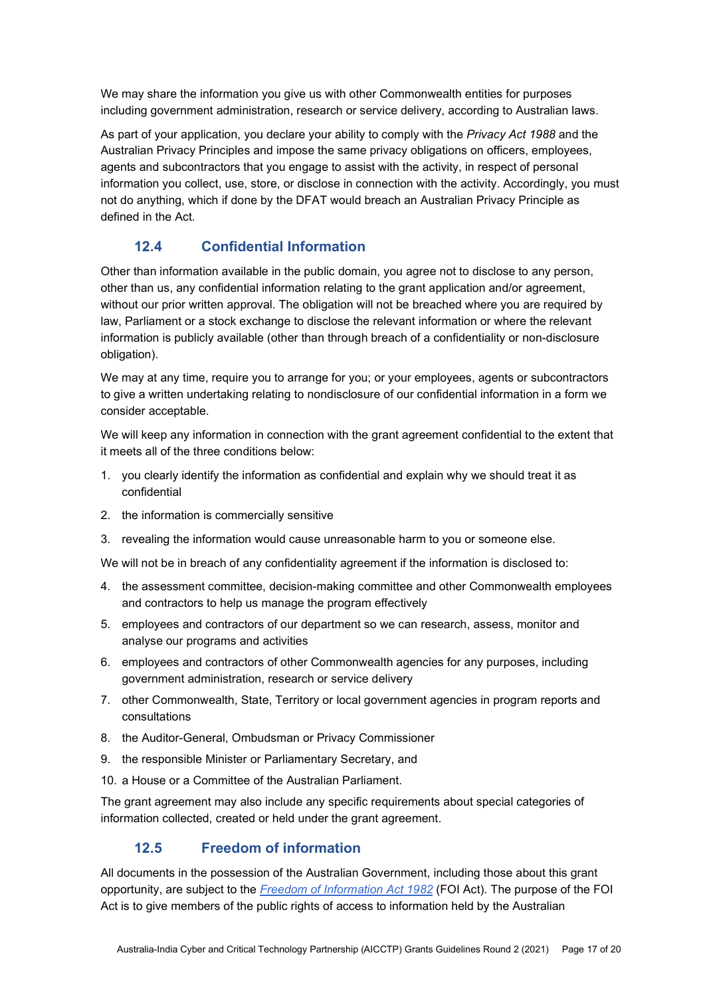We may share the information you give us with other Commonwealth entities for purposes including government administration, research or service delivery, according to Australian laws.

As part of your application, you declare your ability to comply with the Privacy Act 1988 and the Australian Privacy Principles and impose the same privacy obligations on officers, employees, agents and subcontractors that you engage to assist with the activity, in respect of personal information you collect, use, store, or disclose in connection with the activity. Accordingly, you must not do anything, which if done by the DFAT would breach an Australian Privacy Principle as defined in the Act.

#### 12.4 Confidential Information

Other than information available in the public domain, you agree not to disclose to any person, other than us, any confidential information relating to the grant application and/or agreement, without our prior written approval. The obligation will not be breached where you are required by law, Parliament or a stock exchange to disclose the relevant information or where the relevant information is publicly available (other than through breach of a confidentiality or non-disclosure obligation).

We may at any time, require you to arrange for you; or your employees, agents or subcontractors to give a written undertaking relating to nondisclosure of our confidential information in a form we consider acceptable.

We will keep any information in connection with the grant agreement confidential to the extent that it meets all of the three conditions below:

- 1. you clearly identify the information as confidential and explain why we should treat it as confidential
- 2. the information is commercially sensitive
- 3. revealing the information would cause unreasonable harm to you or someone else.

We will not be in breach of any confidentiality agreement if the information is disclosed to:

- 4. the assessment committee, decision-making committee and other Commonwealth employees and contractors to help us manage the program effectively
- 5. employees and contractors of our department so we can research, assess, monitor and analyse our programs and activities
- 6. employees and contractors of other Commonwealth agencies for any purposes, including government administration, research or service delivery
- 7. other Commonwealth, State, Territory or local government agencies in program reports and consultations
- 8. the Auditor-General, Ombudsman or Privacy Commissioner
- 9. the responsible Minister or Parliamentary Secretary, and
- 10. a House or a Committee of the Australian Parliament.

The grant agreement may also include any specific requirements about special categories of information collected, created or held under the grant agreement.

#### 12.5 Freedom of information

All documents in the possession of the Australian Government, including those about this grant opportunity, are subject to the Freedom of Information Act 1982 (FOI Act). The purpose of the FOI Act is to give members of the public rights of access to information held by the Australian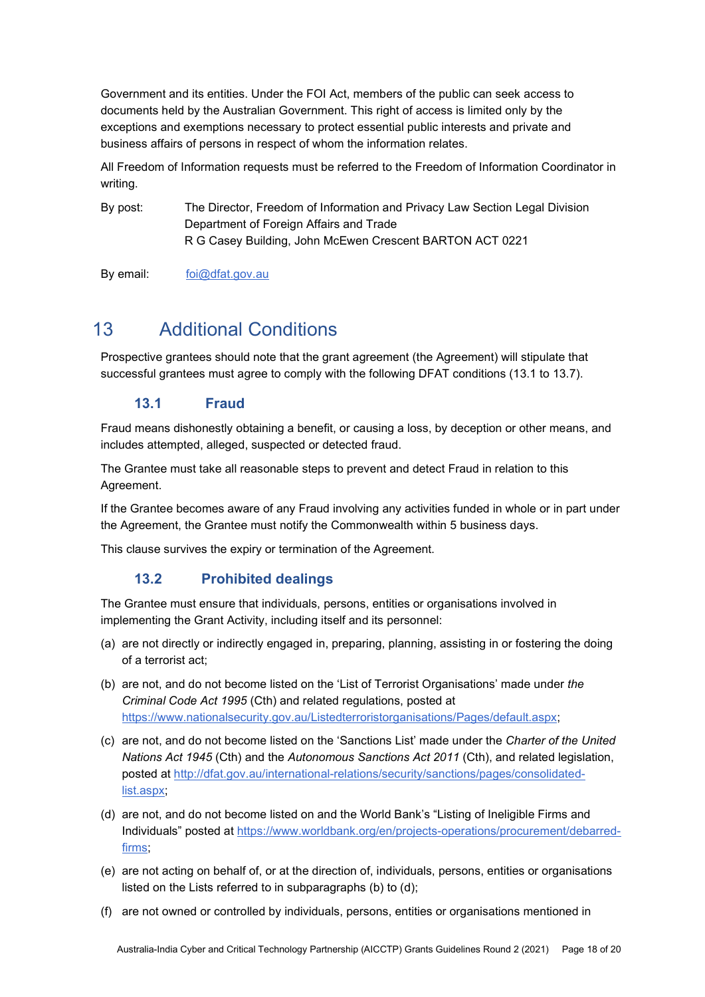Government and its entities. Under the FOI Act, members of the public can seek access to documents held by the Australian Government. This right of access is limited only by the exceptions and exemptions necessary to protect essential public interests and private and business affairs of persons in respect of whom the information relates.

All Freedom of Information requests must be referred to the Freedom of Information Coordinator in writing.

By post: The Director, Freedom of Information and Privacy Law Section Legal Division Department of Foreign Affairs and Trade R G Casey Building, John McEwen Crescent BARTON ACT 0221

By email: foi@dfat.gov.au

# 13 Additional Conditions

Prospective grantees should note that the grant agreement (the Agreement) will stipulate that successful grantees must agree to comply with the following DFAT conditions (13.1 to 13.7).

#### 13.1 Fraud

Fraud means dishonestly obtaining a benefit, or causing a loss, by deception or other means, and includes attempted, alleged, suspected or detected fraud.

The Grantee must take all reasonable steps to prevent and detect Fraud in relation to this Agreement.

If the Grantee becomes aware of any Fraud involving any activities funded in whole or in part under the Agreement, the Grantee must notify the Commonwealth within 5 business days.

This clause survives the expiry or termination of the Agreement.

#### 13.2 Prohibited dealings

The Grantee must ensure that individuals, persons, entities or organisations involved in implementing the Grant Activity, including itself and its personnel:

- (a) are not directly or indirectly engaged in, preparing, planning, assisting in or fostering the doing of a terrorist act;
- (b) are not, and do not become listed on the 'List of Terrorist Organisations' made under the Criminal Code Act 1995 (Cth) and related regulations, posted at https://www.nationalsecurity.gov.au/Listedterroristorganisations/Pages/default.aspx;
- (c) are not, and do not become listed on the 'Sanctions List' made under the Charter of the United Nations Act 1945 (Cth) and the Autonomous Sanctions Act 2011 (Cth), and related legislation, posted at http://dfat.gov.au/international-relations/security/sanctions/pages/consolidatedlist.aspx;
- (d) are not, and do not become listed on and the World Bank's "Listing of Ineligible Firms and Individuals" posted at https://www.worldbank.org/en/projects-operations/procurement/debarredfirms;
- (e) are not acting on behalf of, or at the direction of, individuals, persons, entities or organisations listed on the Lists referred to in subparagraphs (b) to (d);
- (f) are not owned or controlled by individuals, persons, entities or organisations mentioned in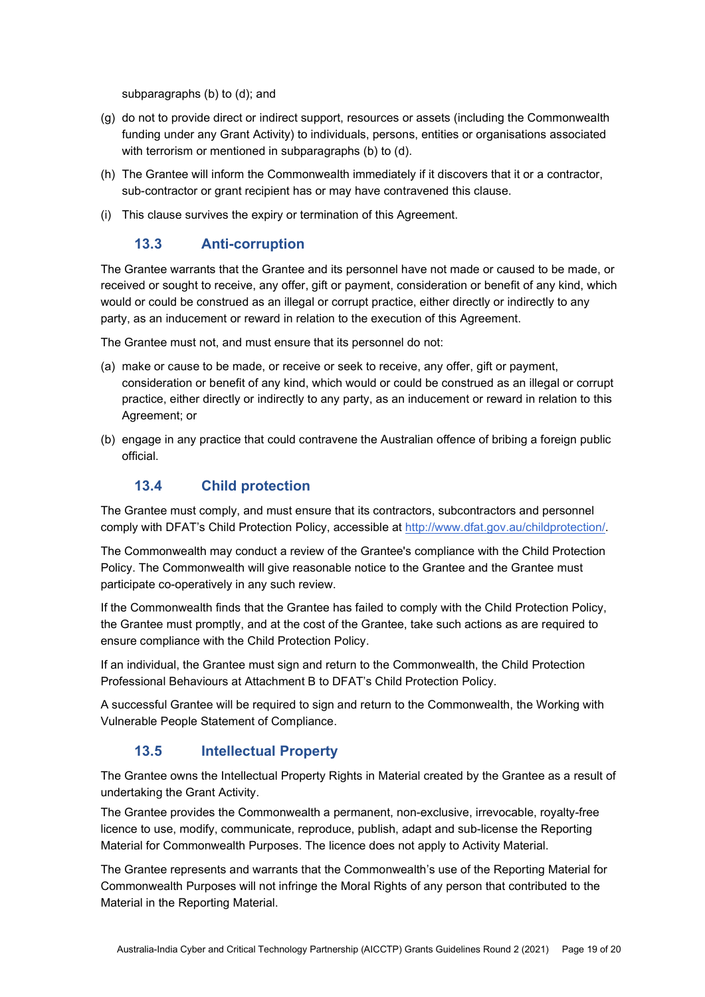subparagraphs (b) to (d); and

- (g) do not to provide direct or indirect support, resources or assets (including the Commonwealth funding under any Grant Activity) to individuals, persons, entities or organisations associated with terrorism or mentioned in subparagraphs (b) to (d).
- (h) The Grantee will inform the Commonwealth immediately if it discovers that it or a contractor, sub-contractor or grant recipient has or may have contravened this clause.
- (i) This clause survives the expiry or termination of this Agreement.

#### 13.3 Anti-corruption

The Grantee warrants that the Grantee and its personnel have not made or caused to be made, or received or sought to receive, any offer, gift or payment, consideration or benefit of any kind, which would or could be construed as an illegal or corrupt practice, either directly or indirectly to any party, as an inducement or reward in relation to the execution of this Agreement.

The Grantee must not, and must ensure that its personnel do not:

- (a) make or cause to be made, or receive or seek to receive, any offer, gift or payment, consideration or benefit of any kind, which would or could be construed as an illegal or corrupt practice, either directly or indirectly to any party, as an inducement or reward in relation to this Agreement; or
- (b) engage in any practice that could contravene the Australian offence of bribing a foreign public official.

#### 13.4 Child protection

The Grantee must comply, and must ensure that its contractors, subcontractors and personnel comply with DFAT's Child Protection Policy, accessible at http://www.dfat.gov.au/childprotection/.

The Commonwealth may conduct a review of the Grantee's compliance with the Child Protection Policy. The Commonwealth will give reasonable notice to the Grantee and the Grantee must participate co-operatively in any such review.

If the Commonwealth finds that the Grantee has failed to comply with the Child Protection Policy, the Grantee must promptly, and at the cost of the Grantee, take such actions as are required to ensure compliance with the Child Protection Policy.

If an individual, the Grantee must sign and return to the Commonwealth, the Child Protection Professional Behaviours at Attachment B to DFAT's Child Protection Policy.

A successful Grantee will be required to sign and return to the Commonwealth, the Working with Vulnerable People Statement of Compliance.

#### 13.5 Intellectual Property

The Grantee owns the Intellectual Property Rights in Material created by the Grantee as a result of undertaking the Grant Activity.

The Grantee provides the Commonwealth a permanent, non-exclusive, irrevocable, royalty-free licence to use, modify, communicate, reproduce, publish, adapt and sub-license the Reporting Material for Commonwealth Purposes. The licence does not apply to Activity Material.

The Grantee represents and warrants that the Commonwealth's use of the Reporting Material for Commonwealth Purposes will not infringe the Moral Rights of any person that contributed to the Material in the Reporting Material.